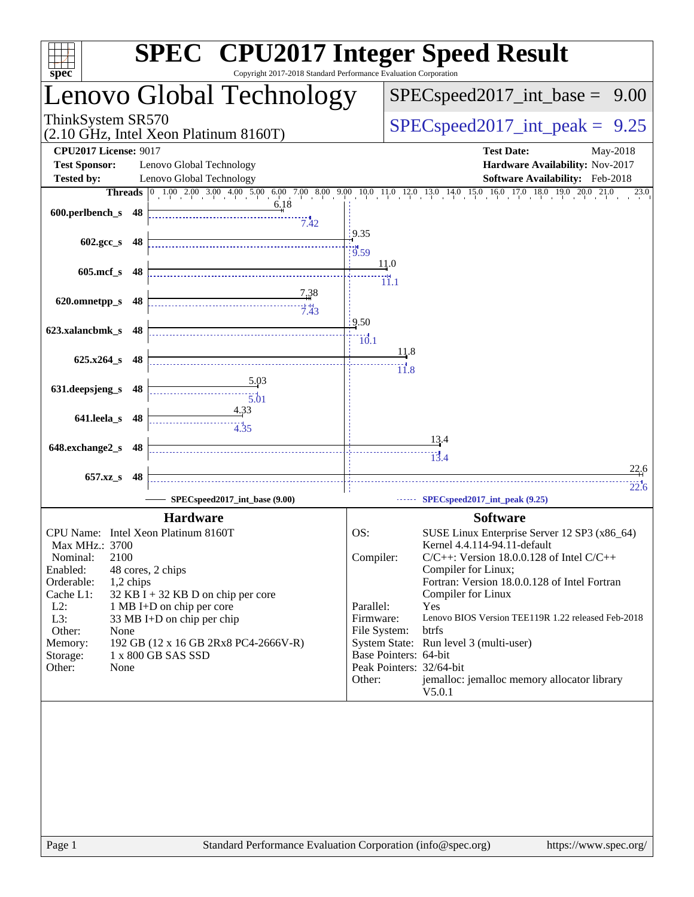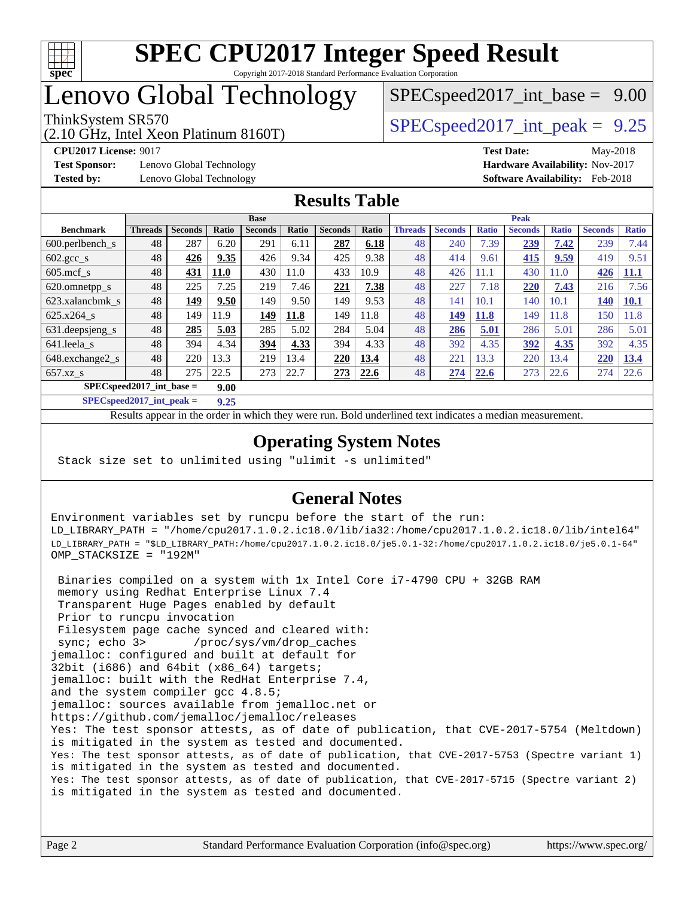

# Lenovo Global Technology

(2.10 GHz, Intel Xeon Platinum 8160T)

ThinkSystem SR570<br>  $SPEC speed2017$  int\_peak = 9.25  $SPECspeed2017\_int\_base = 9.00$ 

**[Test Sponsor:](http://www.spec.org/auto/cpu2017/Docs/result-fields.html#TestSponsor)** Lenovo Global Technology **[Hardware Availability:](http://www.spec.org/auto/cpu2017/Docs/result-fields.html#HardwareAvailability)** Nov-2017 **[Tested by:](http://www.spec.org/auto/cpu2017/Docs/result-fields.html#Testedby)** Lenovo Global Technology **[Software Availability:](http://www.spec.org/auto/cpu2017/Docs/result-fields.html#SoftwareAvailability)** Feb-2018

**[CPU2017 License:](http://www.spec.org/auto/cpu2017/Docs/result-fields.html#CPU2017License)** 9017 **[Test Date:](http://www.spec.org/auto/cpu2017/Docs/result-fields.html#TestDate)** May-2018

### **[Results Table](http://www.spec.org/auto/cpu2017/Docs/result-fields.html#ResultsTable)**

|                                     | <b>Base</b>    |                |              |                |       |                |       | <b>Peak</b>    |                |              |                |              |                |              |
|-------------------------------------|----------------|----------------|--------------|----------------|-------|----------------|-------|----------------|----------------|--------------|----------------|--------------|----------------|--------------|
| <b>Benchmark</b>                    | <b>Threads</b> | <b>Seconds</b> | <b>Ratio</b> | <b>Seconds</b> | Ratio | <b>Seconds</b> | Ratio | <b>Threads</b> | <b>Seconds</b> | <b>Ratio</b> | <b>Seconds</b> | <b>Ratio</b> | <b>Seconds</b> | <b>Ratio</b> |
| 600.perlbench s                     | 48             | 287            | 6.20         | 291            | 6.11  | 287            | 6.18  | 48             | 240            | 7.39         | 239            | 7.42         | 239            | 7.44         |
| $602 \text{.} \text{gcc}\text{.}$ s | 48             | 426            | 9.35         | 426            | 9.34  | 425            | 9.38  | 48             | 414            | 9.61         | 415            | 9.59         | 419            | 9.51         |
| $605$ .mcf s                        | 48             | 431            | 11.0         | 430            | 11.0  | 433            | 10.9  | 48             | 426            | 11.1         | 430            | 11.0         | 426            | <u>11.1</u>  |
| 620.omnetpp_s                       | 48             | 225            | 7.25         | 219            | 7.46  | 221            | 7.38  | 48             | 227            | 7.18         | 220            | 7.43         | 216            | 7.56         |
| 623.xalancbmk s                     | 48             | 149            | 9.50         | 149            | 9.50  | 149            | 9.53  | 48             | 141            | 10.1         | 140            | 10.1         | <b>140</b>     | <b>10.1</b>  |
| 625.x264 s                          | 48             | 149            | 11.9         | 149            | 11.8  | 149            | 11.8  | 48             | 149            | <b>11.8</b>  | 149            | 11.8         | 150            | 1.8          |
| 631.deepsjeng_s                     | 48             | 285            | 5.03         | 285            | 5.02  | 284            | 5.04  | 48             | 286            | 5.01         | 286            | 5.01         | 286            | 5.01         |
| 641.leela s                         | 48             | 394            | 4.34         | 394            | 4.33  | 394            | 4.33  | 48             | 392            | 4.35         | 392            | 4.35         | 392            | 4.35         |
| 648.exchange2_s                     | 48             | 220            | 13.3         | 219            | 13.4  | 220            | 13.4  | 48             | 221            | 13.3         | 220            | 13.4         | 220            | 13.4         |
| $657.xz$ <sub>S</sub>               | 48             | 275            | 22.5         | 273            | 22.7  | 273            | 22.6  | 48             | 274            | 22.6         | 273            | 22.6         | 274            | 22.6         |
| $SPEC speed2017$ int base =         |                |                | 9.00         |                |       |                |       |                |                |              |                |              |                |              |

**[SPECspeed2017\\_int\\_peak =](http://www.spec.org/auto/cpu2017/Docs/result-fields.html#SPECspeed2017intpeak) 9.25**

Results appear in the [order in which they were run.](http://www.spec.org/auto/cpu2017/Docs/result-fields.html#RunOrder) Bold underlined text [indicates a median measurement](http://www.spec.org/auto/cpu2017/Docs/result-fields.html#Median).

### **[Operating System Notes](http://www.spec.org/auto/cpu2017/Docs/result-fields.html#OperatingSystemNotes)**

Stack size set to unlimited using "ulimit -s unlimited"

### **[General Notes](http://www.spec.org/auto/cpu2017/Docs/result-fields.html#GeneralNotes)**

Environment variables set by runcpu before the start of the run: LD\_LIBRARY\_PATH = "/home/cpu2017.1.0.2.ic18.0/lib/ia32:/home/cpu2017.1.0.2.ic18.0/lib/intel64" LD\_LIBRARY\_PATH = "\$LD\_LIBRARY\_PATH:/home/cpu2017.1.0.2.ic18.0/je5.0.1-32:/home/cpu2017.1.0.2.ic18.0/je5.0.1-64" OMP\_STACKSIZE = "192M"

 Binaries compiled on a system with 1x Intel Core i7-4790 CPU + 32GB RAM memory using Redhat Enterprise Linux 7.4 Transparent Huge Pages enabled by default Prior to runcpu invocation Filesystem page cache synced and cleared with: sync; echo 3> /proc/sys/vm/drop\_caches jemalloc: configured and built at default for 32bit (i686) and 64bit (x86\_64) targets; jemalloc: built with the RedHat Enterprise 7.4, and the system compiler gcc 4.8.5; jemalloc: sources available from jemalloc.net or <https://github.com/jemalloc/jemalloc/releases> Yes: The test sponsor attests, as of date of publication, that CVE-2017-5754 (Meltdown) is mitigated in the system as tested and documented. Yes: The test sponsor attests, as of date of publication, that CVE-2017-5753 (Spectre variant 1) is mitigated in the system as tested and documented. Yes: The test sponsor attests, as of date of publication, that CVE-2017-5715 (Spectre variant 2) is mitigated in the system as tested and documented.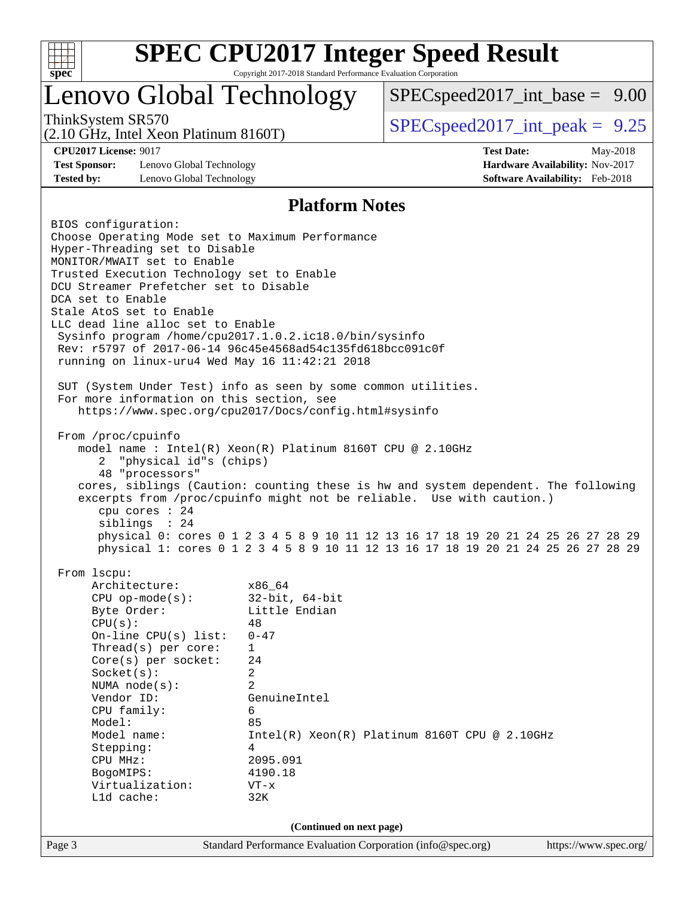

## Lenovo Global Technology

(2.10 GHz, Intel Xeon Platinum 8160T)

 $SPECspeed2017\_int\_base = 9.00$ 

ThinkSystem SR570<br>  $SPEC speed2017$  int\_peak = 9.25

**[Test Sponsor:](http://www.spec.org/auto/cpu2017/Docs/result-fields.html#TestSponsor)** Lenovo Global Technology **[Hardware Availability:](http://www.spec.org/auto/cpu2017/Docs/result-fields.html#HardwareAvailability)** Nov-2017 **[Tested by:](http://www.spec.org/auto/cpu2017/Docs/result-fields.html#Testedby)** Lenovo Global Technology **[Software Availability:](http://www.spec.org/auto/cpu2017/Docs/result-fields.html#SoftwareAvailability)** Feb-2018

**[CPU2017 License:](http://www.spec.org/auto/cpu2017/Docs/result-fields.html#CPU2017License)** 9017 **[Test Date:](http://www.spec.org/auto/cpu2017/Docs/result-fields.html#TestDate)** May-2018

### **[Platform Notes](http://www.spec.org/auto/cpu2017/Docs/result-fields.html#PlatformNotes)**

Page 3 Standard Performance Evaluation Corporation [\(info@spec.org\)](mailto:info@spec.org) <https://www.spec.org/> BIOS configuration: Choose Operating Mode set to Maximum Performance Hyper-Threading set to Disable MONITOR/MWAIT set to Enable Trusted Execution Technology set to Enable DCU Streamer Prefetcher set to Disable DCA set to Enable Stale AtoS set to Enable LLC dead line alloc set to Enable Sysinfo program /home/cpu2017.1.0.2.ic18.0/bin/sysinfo Rev: r5797 of 2017-06-14 96c45e4568ad54c135fd618bcc091c0f running on linux-uru4 Wed May 16 11:42:21 2018 SUT (System Under Test) info as seen by some common utilities. For more information on this section, see <https://www.spec.org/cpu2017/Docs/config.html#sysinfo> From /proc/cpuinfo model name : Intel(R) Xeon(R) Platinum 8160T CPU @ 2.10GHz 2 "physical id"s (chips) 48 "processors" cores, siblings (Caution: counting these is hw and system dependent. The following excerpts from /proc/cpuinfo might not be reliable. Use with caution.) cpu cores : 24 siblings : 24 physical 0: cores 0 1 2 3 4 5 8 9 10 11 12 13 16 17 18 19 20 21 24 25 26 27 28 29 physical 1: cores 0 1 2 3 4 5 8 9 10 11 12 13 16 17 18 19 20 21 24 25 26 27 28 29 From lscpu: Architecture: x86\_64 CPU op-mode(s): 32-bit, 64-bit Byte Order: Little Endian  $CPU(s):$  48 On-line CPU(s) list: 0-47 Thread(s) per core: 1 Core(s) per socket: 24 Socket(s): 2 NUMA node(s): 2 Vendor ID: GenuineIntel CPU family: 6 Model: 85 Model name: Intel(R) Xeon(R) Platinum 8160T CPU @ 2.10GHz Stepping: 4 CPU MHz: 2095.091 BogoMIPS: 4190.18 Virtualization: VT-x L1d cache: 32K **(Continued on next page)**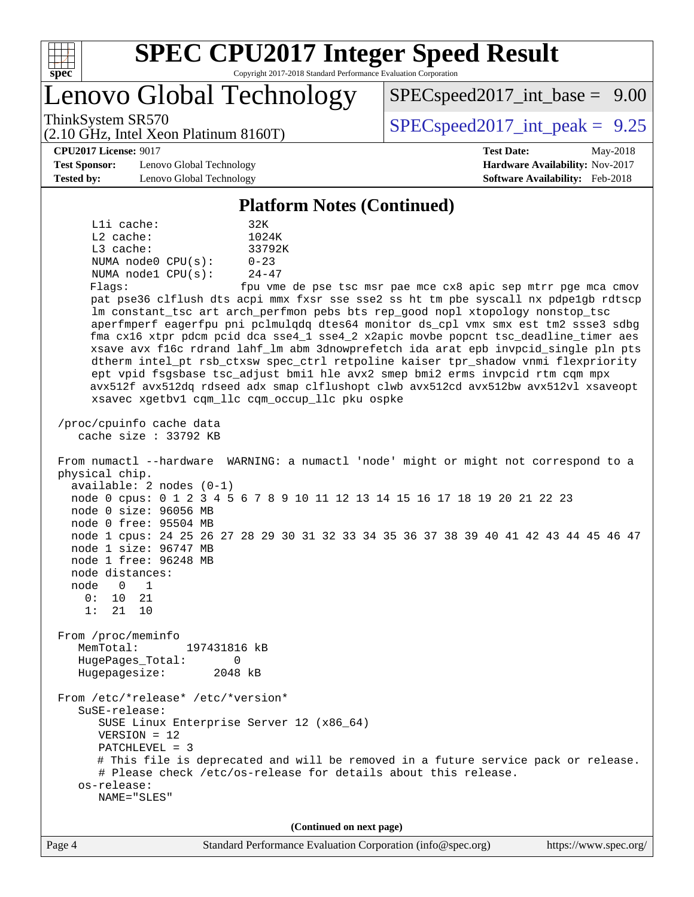

Lenovo Global Technology

ThinkSystem SR570<br>  $SPEC speed2017$  int\_peak = 9.25  $SPECspeed2017\_int\_base = 9.00$ 

(2.10 GHz, Intel Xeon Platinum 8160T)

**[CPU2017 License:](http://www.spec.org/auto/cpu2017/Docs/result-fields.html#CPU2017License)** 9017 **[Test Date:](http://www.spec.org/auto/cpu2017/Docs/result-fields.html#TestDate)** May-2018

**[Test Sponsor:](http://www.spec.org/auto/cpu2017/Docs/result-fields.html#TestSponsor)** Lenovo Global Technology **[Hardware Availability:](http://www.spec.org/auto/cpu2017/Docs/result-fields.html#HardwareAvailability)** Nov-2017 **[Tested by:](http://www.spec.org/auto/cpu2017/Docs/result-fields.html#Testedby)** Lenovo Global Technology **[Software Availability:](http://www.spec.org/auto/cpu2017/Docs/result-fields.html#SoftwareAvailability)** Feb-2018

#### **[Platform Notes \(Continued\)](http://www.spec.org/auto/cpu2017/Docs/result-fields.html#PlatformNotes)**

L1i cache: 32K L2 cache: 1024K L3 cache: 33792K NUMA node0 CPU(s): 0-23 NUMA node1 CPU(s): 24-47 Flags: fpu vme de pse tsc msr pae mce cx8 apic sep mtrr pge mca cmov pat pse36 clflush dts acpi mmx fxsr sse sse2 ss ht tm pbe syscall nx pdpe1gb rdtscp lm constant\_tsc art arch\_perfmon pebs bts rep\_good nopl xtopology nonstop\_tsc aperfmperf eagerfpu pni pclmulqdq dtes64 monitor ds\_cpl vmx smx est tm2 ssse3 sdbg fma cx16 xtpr pdcm pcid dca sse4\_1 sse4\_2 x2apic movbe popcnt tsc\_deadline\_timer aes xsave avx f16c rdrand lahf\_lm abm 3dnowprefetch ida arat epb invpcid\_single pln pts dtherm intel\_pt rsb\_ctxsw spec\_ctrl retpoline kaiser tpr\_shadow vnmi flexpriority ept vpid fsgsbase tsc\_adjust bmi1 hle avx2 smep bmi2 erms invpcid rtm cqm mpx avx512f avx512dq rdseed adx smap clflushopt clwb avx512cd avx512bw avx512vl xsaveopt xsavec xgetbv1 cqm\_llc cqm\_occup\_llc pku ospke

 /proc/cpuinfo cache data cache size : 33792 KB

 From numactl --hardware WARNING: a numactl 'node' might or might not correspond to a physical chip. available: 2 nodes (0-1) node 0 cpus: 0 1 2 3 4 5 6 7 8 9 10 11 12 13 14 15 16 17 18 19 20 21 22 23 node 0 size: 96056 MB node 0 free: 95504 MB node 1 cpus: 24 25 26 27 28 29 30 31 32 33 34 35 36 37 38 39 40 41 42 43 44 45 46 47 node 1 size: 96747 MB node 1 free: 96248 MB node distances: node 0 1 0: 10 21 1: 21 10 From /proc/meminfo MemTotal: 197431816 kB HugePages\_Total: 0<br>Hugepagesize: 2048 kB Hugepagesize: From /etc/\*release\* /etc/\*version\*

 SuSE-release: SUSE Linux Enterprise Server 12 (x86\_64) VERSION = 12 PATCHLEVEL = 3 # This file is deprecated and will be removed in a future service pack or release. # Please check /etc/os-release for details about this release. os-release: NAME="SLES"

**(Continued on next page)**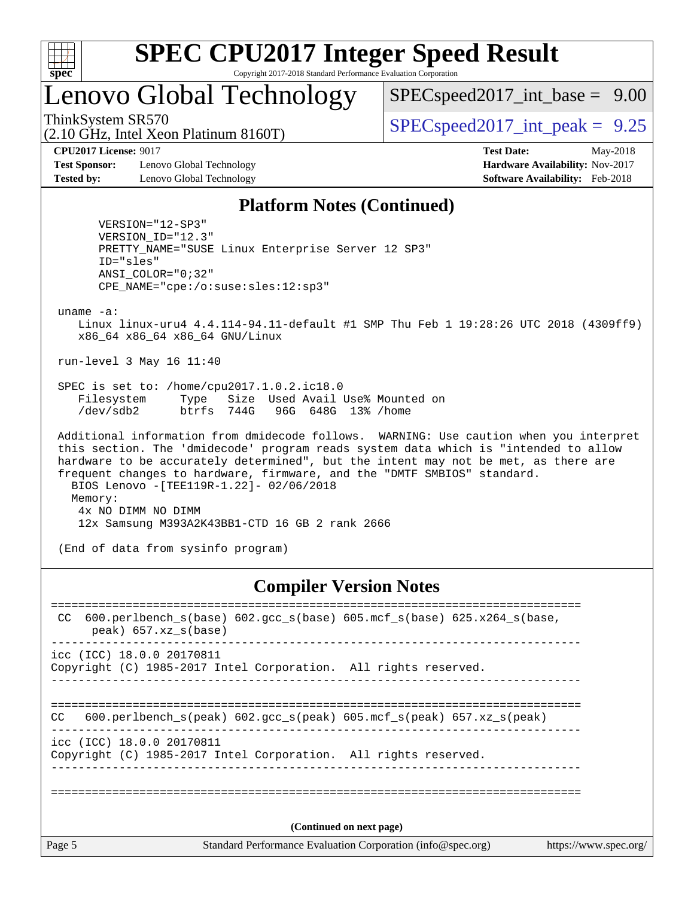

## Lenovo Global Technology

 $SPECspeed2017\_int\_base = 9.00$ 

ThinkSystem SR570<br>  $SPEC speed2017$  int\_peak = 9.25

**[Test Sponsor:](http://www.spec.org/auto/cpu2017/Docs/result-fields.html#TestSponsor)** Lenovo Global Technology **[Hardware Availability:](http://www.spec.org/auto/cpu2017/Docs/result-fields.html#HardwareAvailability)** Nov-2017 **[Tested by:](http://www.spec.org/auto/cpu2017/Docs/result-fields.html#Testedby)** Lenovo Global Technology **[Software Availability:](http://www.spec.org/auto/cpu2017/Docs/result-fields.html#SoftwareAvailability)** Feb-2018

(2.10 GHz, Intel Xeon Platinum 8160T)

**[CPU2017 License:](http://www.spec.org/auto/cpu2017/Docs/result-fields.html#CPU2017License)** 9017 **[Test Date:](http://www.spec.org/auto/cpu2017/Docs/result-fields.html#TestDate)** May-2018

#### **[Platform Notes \(Continued\)](http://www.spec.org/auto/cpu2017/Docs/result-fields.html#PlatformNotes)**

 VERSION="12-SP3" VERSION\_ID="12.3" PRETTY\_NAME="SUSE Linux Enterprise Server 12 SP3" ID="sles" ANSI\_COLOR="0;32" CPE\_NAME="cpe:/o:suse:sles:12:sp3"

uname -a:

 Linux linux-uru4 4.4.114-94.11-default #1 SMP Thu Feb 1 19:28:26 UTC 2018 (4309ff9) x86\_64 x86\_64 x86\_64 GNU/Linux

run-level 3 May 16 11:40

 SPEC is set to: /home/cpu2017.1.0.2.ic18.0 Filesystem Type Size Used Avail Use% Mounted on /dev/sdb2 btrfs 744G 96G 648G 13% /home

 Additional information from dmidecode follows. WARNING: Use caution when you interpret this section. The 'dmidecode' program reads system data which is "intended to allow hardware to be accurately determined", but the intent may not be met, as there are frequent changes to hardware, firmware, and the "DMTF SMBIOS" standard. BIOS Lenovo -[TEE119R-1.22]- 02/06/2018 Memory: 4x NO DIMM NO DIMM 12x Samsung M393A2K43BB1-CTD 16 GB 2 rank 2666

(End of data from sysinfo program)

#### **[Compiler Version Notes](http://www.spec.org/auto/cpu2017/Docs/result-fields.html#CompilerVersionNotes)**

| CC                       | 600.perlbench $s(base)$ 602.qcc $s(base)$ 605.mcf $s(base)$ 625.x264 $s(base)$ ,<br>$peak)$ 657.xz $s(base)$ |  |  |  |  |  |
|--------------------------|--------------------------------------------------------------------------------------------------------------|--|--|--|--|--|
|                          | icc (ICC) 18.0.0 20170811<br>Copyright (C) 1985-2017 Intel Corporation. All rights reserved.                 |  |  |  |  |  |
| CC.                      | 600.perlbench_s(peak) 602.gcc_s(peak) 605.mcf_s(peak) 657.xz_s(peak)                                         |  |  |  |  |  |
|                          | icc (ICC) 18.0.0 20170811<br>Copyright (C) 1985-2017 Intel Corporation. All rights reserved.                 |  |  |  |  |  |
|                          |                                                                                                              |  |  |  |  |  |
| (Continued on next page) |                                                                                                              |  |  |  |  |  |
| Page 5                   | Standard Performance Evaluation Corporation (info@spec.org)<br>https://www.spec.org/                         |  |  |  |  |  |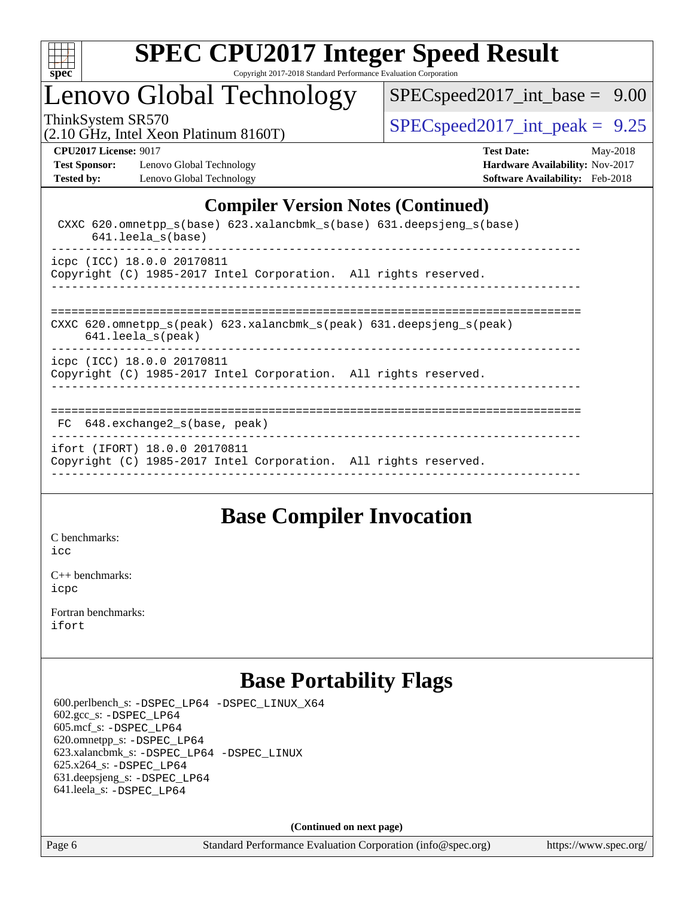

## Lenovo Global Technology

[SPECspeed2017\\_int\\_base =](http://www.spec.org/auto/cpu2017/Docs/result-fields.html#SPECspeed2017intbase) 9.00

(2.10 GHz, Intel Xeon Platinum 8160T)

ThinkSystem SR570<br>(2.10 GHz, Intel Year Platinum 8160T)  $\vert$  [SPECspeed2017\\_int\\_peak =](http://www.spec.org/auto/cpu2017/Docs/result-fields.html#SPECspeed2017intpeak) 9.25

**[Test Sponsor:](http://www.spec.org/auto/cpu2017/Docs/result-fields.html#TestSponsor)** Lenovo Global Technology **[Hardware Availability:](http://www.spec.org/auto/cpu2017/Docs/result-fields.html#HardwareAvailability)** Nov-2017 [Tested by:](http://www.spec.org/auto/cpu2017/Docs/result-fields.html#Testedby) Lenovo Global Technology **[Software Availability:](http://www.spec.org/auto/cpu2017/Docs/result-fields.html#SoftwareAvailability)** Feb-2018

**[CPU2017 License:](http://www.spec.org/auto/cpu2017/Docs/result-fields.html#CPU2017License)** 9017 **[Test Date:](http://www.spec.org/auto/cpu2017/Docs/result-fields.html#TestDate)** May-2018

### **[Compiler Version Notes \(Continued\)](http://www.spec.org/auto/cpu2017/Docs/result-fields.html#CompilerVersionNotes)**

| CXXC $620$ .omnetpp $s(base)$ $623$ .xalancbmk $s(base)$ $631$ .deepsjeng $s(base)$<br>$641.$ leela s(base)                          |
|--------------------------------------------------------------------------------------------------------------------------------------|
| icpc (ICC) 18.0.0 20170811<br>Copyright (C) 1985-2017 Intel Corporation. All rights reserved.                                        |
| CXXC 620.omnetpp $s(\text{peak})$ 623.xalancbmk $s(\text{peak})$ 631.deepsjeng $s(\text{peak})$<br>$641.$ leela $s$ (peak)           |
| icpc (ICC) 18.0.0 20170811<br>Copyright (C) 1985-2017 Intel Corporation. All rights reserved.<br>___________________________________ |
| 648.exchange2 s(base, peak)<br>FC                                                                                                    |
| ifort (IFORT) 18.0.0 20170811<br>Copyright (C) 1985-2017 Intel Corporation. All rights reserved.                                     |

### **[Base Compiler Invocation](http://www.spec.org/auto/cpu2017/Docs/result-fields.html#BaseCompilerInvocation)**

[C benchmarks](http://www.spec.org/auto/cpu2017/Docs/result-fields.html#Cbenchmarks): [icc](http://www.spec.org/cpu2017/results/res2018q3/cpu2017-20180619-07179.flags.html#user_CCbase_intel_icc_18.0_66fc1ee009f7361af1fbd72ca7dcefbb700085f36577c54f309893dd4ec40d12360134090235512931783d35fd58c0460139e722d5067c5574d8eaf2b3e37e92)

[C++ benchmarks:](http://www.spec.org/auto/cpu2017/Docs/result-fields.html#CXXbenchmarks) [icpc](http://www.spec.org/cpu2017/results/res2018q3/cpu2017-20180619-07179.flags.html#user_CXXbase_intel_icpc_18.0_c510b6838c7f56d33e37e94d029a35b4a7bccf4766a728ee175e80a419847e808290a9b78be685c44ab727ea267ec2f070ec5dc83b407c0218cded6866a35d07)

[Fortran benchmarks](http://www.spec.org/auto/cpu2017/Docs/result-fields.html#Fortranbenchmarks): [ifort](http://www.spec.org/cpu2017/results/res2018q3/cpu2017-20180619-07179.flags.html#user_FCbase_intel_ifort_18.0_8111460550e3ca792625aed983ce982f94888b8b503583aa7ba2b8303487b4d8a21a13e7191a45c5fd58ff318f48f9492884d4413fa793fd88dd292cad7027ca)

## **[Base Portability Flags](http://www.spec.org/auto/cpu2017/Docs/result-fields.html#BasePortabilityFlags)**

 600.perlbench\_s: [-DSPEC\\_LP64](http://www.spec.org/cpu2017/results/res2018q3/cpu2017-20180619-07179.flags.html#b600.perlbench_s_basePORTABILITY_DSPEC_LP64) [-DSPEC\\_LINUX\\_X64](http://www.spec.org/cpu2017/results/res2018q3/cpu2017-20180619-07179.flags.html#b600.perlbench_s_baseCPORTABILITY_DSPEC_LINUX_X64) 602.gcc\_s: [-DSPEC\\_LP64](http://www.spec.org/cpu2017/results/res2018q3/cpu2017-20180619-07179.flags.html#suite_basePORTABILITY602_gcc_s_DSPEC_LP64) 605.mcf\_s: [-DSPEC\\_LP64](http://www.spec.org/cpu2017/results/res2018q3/cpu2017-20180619-07179.flags.html#suite_basePORTABILITY605_mcf_s_DSPEC_LP64) 620.omnetpp\_s: [-DSPEC\\_LP64](http://www.spec.org/cpu2017/results/res2018q3/cpu2017-20180619-07179.flags.html#suite_basePORTABILITY620_omnetpp_s_DSPEC_LP64) 623.xalancbmk\_s: [-DSPEC\\_LP64](http://www.spec.org/cpu2017/results/res2018q3/cpu2017-20180619-07179.flags.html#suite_basePORTABILITY623_xalancbmk_s_DSPEC_LP64) [-DSPEC\\_LINUX](http://www.spec.org/cpu2017/results/res2018q3/cpu2017-20180619-07179.flags.html#b623.xalancbmk_s_baseCXXPORTABILITY_DSPEC_LINUX) 625.x264\_s: [-DSPEC\\_LP64](http://www.spec.org/cpu2017/results/res2018q3/cpu2017-20180619-07179.flags.html#suite_basePORTABILITY625_x264_s_DSPEC_LP64) 631.deepsjeng\_s: [-DSPEC\\_LP64](http://www.spec.org/cpu2017/results/res2018q3/cpu2017-20180619-07179.flags.html#suite_basePORTABILITY631_deepsjeng_s_DSPEC_LP64) 641.leela\_s: [-DSPEC\\_LP64](http://www.spec.org/cpu2017/results/res2018q3/cpu2017-20180619-07179.flags.html#suite_basePORTABILITY641_leela_s_DSPEC_LP64)

**(Continued on next page)**

Page 6 Standard Performance Evaluation Corporation [\(info@spec.org\)](mailto:info@spec.org) <https://www.spec.org/>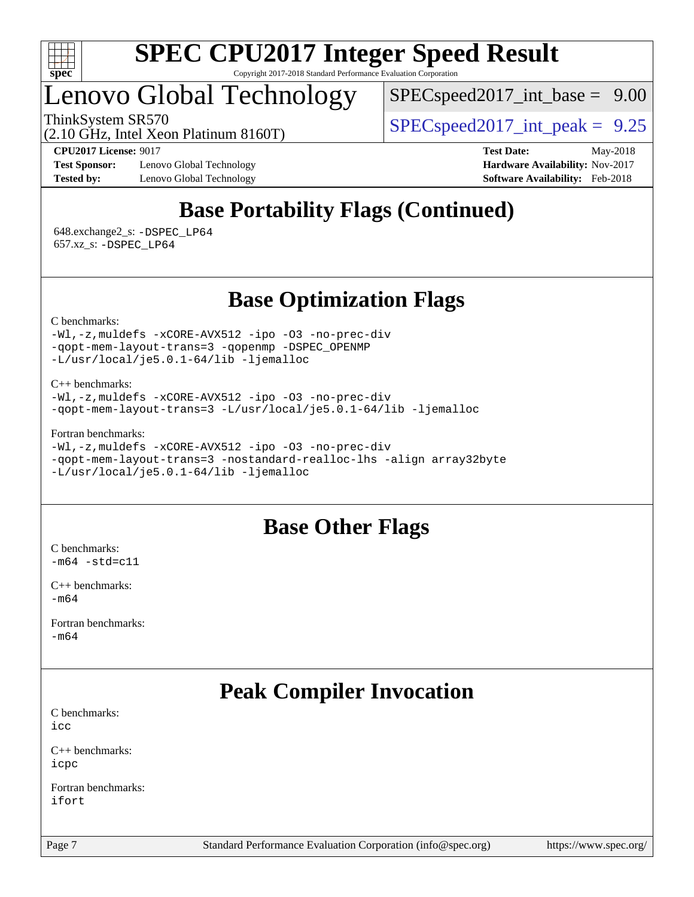

# Lenovo Global Technology

 $SPECspeed2017\_int\_base = 9.00$ 

ThinkSystem SR570<br>  $SPEC speed2017$  int\_peak = 9.25

(2.10 GHz, Intel Xeon Platinum 8160T)

**[Test Sponsor:](http://www.spec.org/auto/cpu2017/Docs/result-fields.html#TestSponsor)** Lenovo Global Technology **[Hardware Availability:](http://www.spec.org/auto/cpu2017/Docs/result-fields.html#HardwareAvailability)** Nov-2017 **[Tested by:](http://www.spec.org/auto/cpu2017/Docs/result-fields.html#Testedby)** Lenovo Global Technology **[Software Availability:](http://www.spec.org/auto/cpu2017/Docs/result-fields.html#SoftwareAvailability)** Feb-2018

**[CPU2017 License:](http://www.spec.org/auto/cpu2017/Docs/result-fields.html#CPU2017License)** 9017 **[Test Date:](http://www.spec.org/auto/cpu2017/Docs/result-fields.html#TestDate)** May-2018

## **[Base Portability Flags \(Continued\)](http://www.spec.org/auto/cpu2017/Docs/result-fields.html#BasePortabilityFlags)**

 648.exchange2\_s: [-DSPEC\\_LP64](http://www.spec.org/cpu2017/results/res2018q3/cpu2017-20180619-07179.flags.html#suite_basePORTABILITY648_exchange2_s_DSPEC_LP64) 657.xz\_s: [-DSPEC\\_LP64](http://www.spec.org/cpu2017/results/res2018q3/cpu2017-20180619-07179.flags.html#suite_basePORTABILITY657_xz_s_DSPEC_LP64)

### **[Base Optimization Flags](http://www.spec.org/auto/cpu2017/Docs/result-fields.html#BaseOptimizationFlags)**

[C benchmarks](http://www.spec.org/auto/cpu2017/Docs/result-fields.html#Cbenchmarks):

[-Wl,-z,muldefs](http://www.spec.org/cpu2017/results/res2018q3/cpu2017-20180619-07179.flags.html#user_CCbase_link_force_multiple1_b4cbdb97b34bdee9ceefcfe54f4c8ea74255f0b02a4b23e853cdb0e18eb4525ac79b5a88067c842dd0ee6996c24547a27a4b99331201badda8798ef8a743f577) [-xCORE-AVX512](http://www.spec.org/cpu2017/results/res2018q3/cpu2017-20180619-07179.flags.html#user_CCbase_f-xCORE-AVX512) [-ipo](http://www.spec.org/cpu2017/results/res2018q3/cpu2017-20180619-07179.flags.html#user_CCbase_f-ipo) [-O3](http://www.spec.org/cpu2017/results/res2018q3/cpu2017-20180619-07179.flags.html#user_CCbase_f-O3) [-no-prec-div](http://www.spec.org/cpu2017/results/res2018q3/cpu2017-20180619-07179.flags.html#user_CCbase_f-no-prec-div) [-qopt-mem-layout-trans=3](http://www.spec.org/cpu2017/results/res2018q3/cpu2017-20180619-07179.flags.html#user_CCbase_f-qopt-mem-layout-trans_de80db37974c74b1f0e20d883f0b675c88c3b01e9d123adea9b28688d64333345fb62bc4a798493513fdb68f60282f9a726aa07f478b2f7113531aecce732043) [-qopenmp](http://www.spec.org/cpu2017/results/res2018q3/cpu2017-20180619-07179.flags.html#user_CCbase_qopenmp_16be0c44f24f464004c6784a7acb94aca937f053568ce72f94b139a11c7c168634a55f6653758ddd83bcf7b8463e8028bb0b48b77bcddc6b78d5d95bb1df2967) [-DSPEC\\_OPENMP](http://www.spec.org/cpu2017/results/res2018q3/cpu2017-20180619-07179.flags.html#suite_CCbase_DSPEC_OPENMP) [-L/usr/local/je5.0.1-64/lib](http://www.spec.org/cpu2017/results/res2018q3/cpu2017-20180619-07179.flags.html#user_CCbase_jemalloc_link_path64_4b10a636b7bce113509b17f3bd0d6226c5fb2346b9178c2d0232c14f04ab830f976640479e5c33dc2bcbbdad86ecfb6634cbbd4418746f06f368b512fced5394) [-ljemalloc](http://www.spec.org/cpu2017/results/res2018q3/cpu2017-20180619-07179.flags.html#user_CCbase_jemalloc_link_lib_d1249b907c500fa1c0672f44f562e3d0f79738ae9e3c4a9c376d49f265a04b9c99b167ecedbf6711b3085be911c67ff61f150a17b3472be731631ba4d0471706)

[C++ benchmarks:](http://www.spec.org/auto/cpu2017/Docs/result-fields.html#CXXbenchmarks) [-Wl,-z,muldefs](http://www.spec.org/cpu2017/results/res2018q3/cpu2017-20180619-07179.flags.html#user_CXXbase_link_force_multiple1_b4cbdb97b34bdee9ceefcfe54f4c8ea74255f0b02a4b23e853cdb0e18eb4525ac79b5a88067c842dd0ee6996c24547a27a4b99331201badda8798ef8a743f577) [-xCORE-AVX512](http://www.spec.org/cpu2017/results/res2018q3/cpu2017-20180619-07179.flags.html#user_CXXbase_f-xCORE-AVX512) [-ipo](http://www.spec.org/cpu2017/results/res2018q3/cpu2017-20180619-07179.flags.html#user_CXXbase_f-ipo) [-O3](http://www.spec.org/cpu2017/results/res2018q3/cpu2017-20180619-07179.flags.html#user_CXXbase_f-O3) [-no-prec-div](http://www.spec.org/cpu2017/results/res2018q3/cpu2017-20180619-07179.flags.html#user_CXXbase_f-no-prec-div) [-qopt-mem-layout-trans=3](http://www.spec.org/cpu2017/results/res2018q3/cpu2017-20180619-07179.flags.html#user_CXXbase_f-qopt-mem-layout-trans_de80db37974c74b1f0e20d883f0b675c88c3b01e9d123adea9b28688d64333345fb62bc4a798493513fdb68f60282f9a726aa07f478b2f7113531aecce732043) [-L/usr/local/je5.0.1-64/lib](http://www.spec.org/cpu2017/results/res2018q3/cpu2017-20180619-07179.flags.html#user_CXXbase_jemalloc_link_path64_4b10a636b7bce113509b17f3bd0d6226c5fb2346b9178c2d0232c14f04ab830f976640479e5c33dc2bcbbdad86ecfb6634cbbd4418746f06f368b512fced5394) [-ljemalloc](http://www.spec.org/cpu2017/results/res2018q3/cpu2017-20180619-07179.flags.html#user_CXXbase_jemalloc_link_lib_d1249b907c500fa1c0672f44f562e3d0f79738ae9e3c4a9c376d49f265a04b9c99b167ecedbf6711b3085be911c67ff61f150a17b3472be731631ba4d0471706)

[Fortran benchmarks](http://www.spec.org/auto/cpu2017/Docs/result-fields.html#Fortranbenchmarks):

[-Wl,-z,muldefs](http://www.spec.org/cpu2017/results/res2018q3/cpu2017-20180619-07179.flags.html#user_FCbase_link_force_multiple1_b4cbdb97b34bdee9ceefcfe54f4c8ea74255f0b02a4b23e853cdb0e18eb4525ac79b5a88067c842dd0ee6996c24547a27a4b99331201badda8798ef8a743f577) [-xCORE-AVX512](http://www.spec.org/cpu2017/results/res2018q3/cpu2017-20180619-07179.flags.html#user_FCbase_f-xCORE-AVX512) [-ipo](http://www.spec.org/cpu2017/results/res2018q3/cpu2017-20180619-07179.flags.html#user_FCbase_f-ipo) [-O3](http://www.spec.org/cpu2017/results/res2018q3/cpu2017-20180619-07179.flags.html#user_FCbase_f-O3) [-no-prec-div](http://www.spec.org/cpu2017/results/res2018q3/cpu2017-20180619-07179.flags.html#user_FCbase_f-no-prec-div) [-qopt-mem-layout-trans=3](http://www.spec.org/cpu2017/results/res2018q3/cpu2017-20180619-07179.flags.html#user_FCbase_f-qopt-mem-layout-trans_de80db37974c74b1f0e20d883f0b675c88c3b01e9d123adea9b28688d64333345fb62bc4a798493513fdb68f60282f9a726aa07f478b2f7113531aecce732043) [-nostandard-realloc-lhs](http://www.spec.org/cpu2017/results/res2018q3/cpu2017-20180619-07179.flags.html#user_FCbase_f_2003_std_realloc_82b4557e90729c0f113870c07e44d33d6f5a304b4f63d4c15d2d0f1fab99f5daaed73bdb9275d9ae411527f28b936061aa8b9c8f2d63842963b95c9dd6426b8a) [-align array32byte](http://www.spec.org/cpu2017/results/res2018q3/cpu2017-20180619-07179.flags.html#user_FCbase_align_array32byte_b982fe038af199962ba9a80c053b8342c548c85b40b8e86eb3cc33dee0d7986a4af373ac2d51c3f7cf710a18d62fdce2948f201cd044323541f22fc0fffc51b6) [-L/usr/local/je5.0.1-64/lib](http://www.spec.org/cpu2017/results/res2018q3/cpu2017-20180619-07179.flags.html#user_FCbase_jemalloc_link_path64_4b10a636b7bce113509b17f3bd0d6226c5fb2346b9178c2d0232c14f04ab830f976640479e5c33dc2bcbbdad86ecfb6634cbbd4418746f06f368b512fced5394) [-ljemalloc](http://www.spec.org/cpu2017/results/res2018q3/cpu2017-20180619-07179.flags.html#user_FCbase_jemalloc_link_lib_d1249b907c500fa1c0672f44f562e3d0f79738ae9e3c4a9c376d49f265a04b9c99b167ecedbf6711b3085be911c67ff61f150a17b3472be731631ba4d0471706)

### **[Base Other Flags](http://www.spec.org/auto/cpu2017/Docs/result-fields.html#BaseOtherFlags)**

[C benchmarks](http://www.spec.org/auto/cpu2017/Docs/result-fields.html#Cbenchmarks):  $-m64$   $-std=cl1$ 

[C++ benchmarks:](http://www.spec.org/auto/cpu2017/Docs/result-fields.html#CXXbenchmarks) [-m64](http://www.spec.org/cpu2017/results/res2018q3/cpu2017-20180619-07179.flags.html#user_CXXbase_intel_intel64_18.0_af43caccfc8ded86e7699f2159af6efc7655f51387b94da716254467f3c01020a5059329e2569e4053f409e7c9202a7efc638f7a6d1ffb3f52dea4a3e31d82ab)

[Fortran benchmarks](http://www.spec.org/auto/cpu2017/Docs/result-fields.html#Fortranbenchmarks): [-m64](http://www.spec.org/cpu2017/results/res2018q3/cpu2017-20180619-07179.flags.html#user_FCbase_intel_intel64_18.0_af43caccfc8ded86e7699f2159af6efc7655f51387b94da716254467f3c01020a5059329e2569e4053f409e7c9202a7efc638f7a6d1ffb3f52dea4a3e31d82ab)

## **[Peak Compiler Invocation](http://www.spec.org/auto/cpu2017/Docs/result-fields.html#PeakCompilerInvocation)**

[C benchmarks](http://www.spec.org/auto/cpu2017/Docs/result-fields.html#Cbenchmarks): [icc](http://www.spec.org/cpu2017/results/res2018q3/cpu2017-20180619-07179.flags.html#user_CCpeak_intel_icc_18.0_66fc1ee009f7361af1fbd72ca7dcefbb700085f36577c54f309893dd4ec40d12360134090235512931783d35fd58c0460139e722d5067c5574d8eaf2b3e37e92)

[C++ benchmarks:](http://www.spec.org/auto/cpu2017/Docs/result-fields.html#CXXbenchmarks) [icpc](http://www.spec.org/cpu2017/results/res2018q3/cpu2017-20180619-07179.flags.html#user_CXXpeak_intel_icpc_18.0_c510b6838c7f56d33e37e94d029a35b4a7bccf4766a728ee175e80a419847e808290a9b78be685c44ab727ea267ec2f070ec5dc83b407c0218cded6866a35d07)

[Fortran benchmarks](http://www.spec.org/auto/cpu2017/Docs/result-fields.html#Fortranbenchmarks): [ifort](http://www.spec.org/cpu2017/results/res2018q3/cpu2017-20180619-07179.flags.html#user_FCpeak_intel_ifort_18.0_8111460550e3ca792625aed983ce982f94888b8b503583aa7ba2b8303487b4d8a21a13e7191a45c5fd58ff318f48f9492884d4413fa793fd88dd292cad7027ca)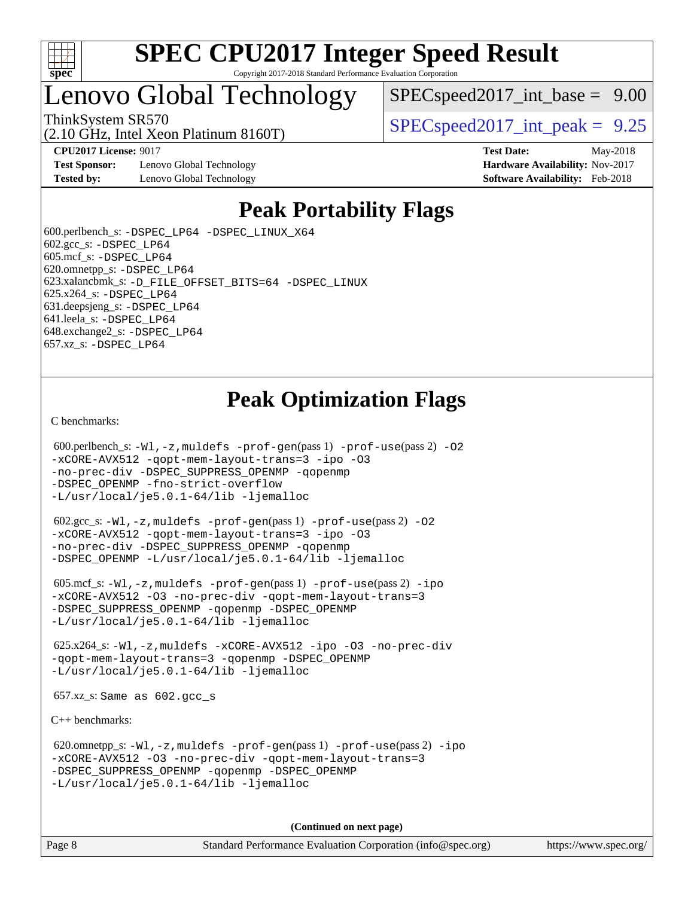

## Lenovo Global Technology

(2.10 GHz, Intel Xeon Platinum 8160T)

 $SPECspeed2017\_int\_base = 9.00$ 

ThinkSystem SR570<br>  $SPEC speed2017$  int\_peak = 9.25

**[CPU2017 License:](http://www.spec.org/auto/cpu2017/Docs/result-fields.html#CPU2017License)** 9017 **[Test Date:](http://www.spec.org/auto/cpu2017/Docs/result-fields.html#TestDate)** May-2018

**[Test Sponsor:](http://www.spec.org/auto/cpu2017/Docs/result-fields.html#TestSponsor)** Lenovo Global Technology **[Hardware Availability:](http://www.spec.org/auto/cpu2017/Docs/result-fields.html#HardwareAvailability)** Nov-2017 **[Tested by:](http://www.spec.org/auto/cpu2017/Docs/result-fields.html#Testedby)** Lenovo Global Technology **[Software Availability:](http://www.spec.org/auto/cpu2017/Docs/result-fields.html#SoftwareAvailability)** Feb-2018

# **[Peak Portability Flags](http://www.spec.org/auto/cpu2017/Docs/result-fields.html#PeakPortabilityFlags)**

 600.perlbench\_s: [-DSPEC\\_LP64](http://www.spec.org/cpu2017/results/res2018q3/cpu2017-20180619-07179.flags.html#b600.perlbench_s_peakPORTABILITY_DSPEC_LP64) [-DSPEC\\_LINUX\\_X64](http://www.spec.org/cpu2017/results/res2018q3/cpu2017-20180619-07179.flags.html#b600.perlbench_s_peakCPORTABILITY_DSPEC_LINUX_X64) 602.gcc\_s: [-DSPEC\\_LP64](http://www.spec.org/cpu2017/results/res2018q3/cpu2017-20180619-07179.flags.html#suite_peakPORTABILITY602_gcc_s_DSPEC_LP64) 605.mcf\_s: [-DSPEC\\_LP64](http://www.spec.org/cpu2017/results/res2018q3/cpu2017-20180619-07179.flags.html#suite_peakPORTABILITY605_mcf_s_DSPEC_LP64) 620.omnetpp\_s: [-DSPEC\\_LP64](http://www.spec.org/cpu2017/results/res2018q3/cpu2017-20180619-07179.flags.html#suite_peakPORTABILITY620_omnetpp_s_DSPEC_LP64) 623.xalancbmk\_s: [-D\\_FILE\\_OFFSET\\_BITS=64](http://www.spec.org/cpu2017/results/res2018q3/cpu2017-20180619-07179.flags.html#user_peakPORTABILITY623_xalancbmk_s_file_offset_bits_64_5ae949a99b284ddf4e95728d47cb0843d81b2eb0e18bdfe74bbf0f61d0b064f4bda2f10ea5eb90e1dcab0e84dbc592acfc5018bc955c18609f94ddb8d550002c) [-DSPEC\\_LINUX](http://www.spec.org/cpu2017/results/res2018q3/cpu2017-20180619-07179.flags.html#b623.xalancbmk_s_peakCXXPORTABILITY_DSPEC_LINUX) 625.x264\_s: [-DSPEC\\_LP64](http://www.spec.org/cpu2017/results/res2018q3/cpu2017-20180619-07179.flags.html#suite_peakPORTABILITY625_x264_s_DSPEC_LP64) 631.deepsjeng\_s: [-DSPEC\\_LP64](http://www.spec.org/cpu2017/results/res2018q3/cpu2017-20180619-07179.flags.html#suite_peakPORTABILITY631_deepsjeng_s_DSPEC_LP64) 641.leela\_s: [-DSPEC\\_LP64](http://www.spec.org/cpu2017/results/res2018q3/cpu2017-20180619-07179.flags.html#suite_peakPORTABILITY641_leela_s_DSPEC_LP64) 648.exchange2\_s: [-DSPEC\\_LP64](http://www.spec.org/cpu2017/results/res2018q3/cpu2017-20180619-07179.flags.html#suite_peakPORTABILITY648_exchange2_s_DSPEC_LP64) 657.xz\_s: [-DSPEC\\_LP64](http://www.spec.org/cpu2017/results/res2018q3/cpu2017-20180619-07179.flags.html#suite_peakPORTABILITY657_xz_s_DSPEC_LP64)

### **[Peak Optimization Flags](http://www.spec.org/auto/cpu2017/Docs/result-fields.html#PeakOptimizationFlags)**

[C benchmarks](http://www.spec.org/auto/cpu2017/Docs/result-fields.html#Cbenchmarks):

```
600.perlbench_s: -W1-prof-gen-prof-use(pass 2) -02
-xCORE-AVX512 -qopt-mem-layout-trans=3 -ipo -O3
-no-prec-div -DSPEC_SUPPRESS_OPENMP -qopenmp
-DSPEC_OPENMP -fno-strict-overflow
-L/usr/local/je5.0.1-64/lib -ljemalloc
```
 602.gcc\_s: [-Wl,-z,muldefs](http://www.spec.org/cpu2017/results/res2018q3/cpu2017-20180619-07179.flags.html#user_peakEXTRA_LDFLAGS602_gcc_s_link_force_multiple1_b4cbdb97b34bdee9ceefcfe54f4c8ea74255f0b02a4b23e853cdb0e18eb4525ac79b5a88067c842dd0ee6996c24547a27a4b99331201badda8798ef8a743f577) [-prof-gen](http://www.spec.org/cpu2017/results/res2018q3/cpu2017-20180619-07179.flags.html#user_peakPASS1_CFLAGSPASS1_LDFLAGS602_gcc_s_prof_gen_5aa4926d6013ddb2a31985c654b3eb18169fc0c6952a63635c234f711e6e63dd76e94ad52365559451ec499a2cdb89e4dc58ba4c67ef54ca681ffbe1461d6b36)(pass 1) [-prof-use](http://www.spec.org/cpu2017/results/res2018q3/cpu2017-20180619-07179.flags.html#user_peakPASS2_CFLAGSPASS2_LDFLAGS602_gcc_s_prof_use_1a21ceae95f36a2b53c25747139a6c16ca95bd9def2a207b4f0849963b97e94f5260e30a0c64f4bb623698870e679ca08317ef8150905d41bd88c6f78df73f19)(pass 2) [-O2](http://www.spec.org/cpu2017/results/res2018q3/cpu2017-20180619-07179.flags.html#user_peakPASS1_COPTIMIZE602_gcc_s_f-O2) [-xCORE-AVX512](http://www.spec.org/cpu2017/results/res2018q3/cpu2017-20180619-07179.flags.html#user_peakPASS2_COPTIMIZE602_gcc_s_f-xCORE-AVX512) [-qopt-mem-layout-trans=3](http://www.spec.org/cpu2017/results/res2018q3/cpu2017-20180619-07179.flags.html#user_peakPASS1_COPTIMIZEPASS2_COPTIMIZE602_gcc_s_f-qopt-mem-layout-trans_de80db37974c74b1f0e20d883f0b675c88c3b01e9d123adea9b28688d64333345fb62bc4a798493513fdb68f60282f9a726aa07f478b2f7113531aecce732043) [-ipo](http://www.spec.org/cpu2017/results/res2018q3/cpu2017-20180619-07179.flags.html#user_peakPASS2_COPTIMIZE602_gcc_s_f-ipo) [-O3](http://www.spec.org/cpu2017/results/res2018q3/cpu2017-20180619-07179.flags.html#user_peakPASS2_COPTIMIZE602_gcc_s_f-O3) [-no-prec-div](http://www.spec.org/cpu2017/results/res2018q3/cpu2017-20180619-07179.flags.html#user_peakPASS2_COPTIMIZE602_gcc_s_f-no-prec-div) [-DSPEC\\_SUPPRESS\\_OPENMP](http://www.spec.org/cpu2017/results/res2018q3/cpu2017-20180619-07179.flags.html#suite_peakPASS1_COPTIMIZE602_gcc_s_DSPEC_SUPPRESS_OPENMP) [-qopenmp](http://www.spec.org/cpu2017/results/res2018q3/cpu2017-20180619-07179.flags.html#user_peakPASS2_COPTIMIZE602_gcc_s_qopenmp_16be0c44f24f464004c6784a7acb94aca937f053568ce72f94b139a11c7c168634a55f6653758ddd83bcf7b8463e8028bb0b48b77bcddc6b78d5d95bb1df2967) [-DSPEC\\_OPENMP](http://www.spec.org/cpu2017/results/res2018q3/cpu2017-20180619-07179.flags.html#suite_peakPASS2_COPTIMIZE602_gcc_s_DSPEC_OPENMP) [-L/usr/local/je5.0.1-64/lib](http://www.spec.org/cpu2017/results/res2018q3/cpu2017-20180619-07179.flags.html#user_peakEXTRA_LIBS602_gcc_s_jemalloc_link_path64_4b10a636b7bce113509b17f3bd0d6226c5fb2346b9178c2d0232c14f04ab830f976640479e5c33dc2bcbbdad86ecfb6634cbbd4418746f06f368b512fced5394) [-ljemalloc](http://www.spec.org/cpu2017/results/res2018q3/cpu2017-20180619-07179.flags.html#user_peakEXTRA_LIBS602_gcc_s_jemalloc_link_lib_d1249b907c500fa1c0672f44f562e3d0f79738ae9e3c4a9c376d49f265a04b9c99b167ecedbf6711b3085be911c67ff61f150a17b3472be731631ba4d0471706)

 605.mcf\_s: [-Wl,-z,muldefs](http://www.spec.org/cpu2017/results/res2018q3/cpu2017-20180619-07179.flags.html#user_peakEXTRA_LDFLAGS605_mcf_s_link_force_multiple1_b4cbdb97b34bdee9ceefcfe54f4c8ea74255f0b02a4b23e853cdb0e18eb4525ac79b5a88067c842dd0ee6996c24547a27a4b99331201badda8798ef8a743f577) [-prof-gen](http://www.spec.org/cpu2017/results/res2018q3/cpu2017-20180619-07179.flags.html#user_peakPASS1_CFLAGSPASS1_LDFLAGS605_mcf_s_prof_gen_5aa4926d6013ddb2a31985c654b3eb18169fc0c6952a63635c234f711e6e63dd76e94ad52365559451ec499a2cdb89e4dc58ba4c67ef54ca681ffbe1461d6b36)(pass 1) [-prof-use](http://www.spec.org/cpu2017/results/res2018q3/cpu2017-20180619-07179.flags.html#user_peakPASS2_CFLAGSPASS2_LDFLAGS605_mcf_s_prof_use_1a21ceae95f36a2b53c25747139a6c16ca95bd9def2a207b4f0849963b97e94f5260e30a0c64f4bb623698870e679ca08317ef8150905d41bd88c6f78df73f19)(pass 2) [-ipo](http://www.spec.org/cpu2017/results/res2018q3/cpu2017-20180619-07179.flags.html#user_peakPASS1_COPTIMIZEPASS2_COPTIMIZE605_mcf_s_f-ipo) [-xCORE-AVX512](http://www.spec.org/cpu2017/results/res2018q3/cpu2017-20180619-07179.flags.html#user_peakPASS2_COPTIMIZE605_mcf_s_f-xCORE-AVX512) [-O3](http://www.spec.org/cpu2017/results/res2018q3/cpu2017-20180619-07179.flags.html#user_peakPASS1_COPTIMIZEPASS2_COPTIMIZE605_mcf_s_f-O3) [-no-prec-div](http://www.spec.org/cpu2017/results/res2018q3/cpu2017-20180619-07179.flags.html#user_peakPASS1_COPTIMIZEPASS2_COPTIMIZE605_mcf_s_f-no-prec-div) [-qopt-mem-layout-trans=3](http://www.spec.org/cpu2017/results/res2018q3/cpu2017-20180619-07179.flags.html#user_peakPASS1_COPTIMIZEPASS2_COPTIMIZE605_mcf_s_f-qopt-mem-layout-trans_de80db37974c74b1f0e20d883f0b675c88c3b01e9d123adea9b28688d64333345fb62bc4a798493513fdb68f60282f9a726aa07f478b2f7113531aecce732043) [-DSPEC\\_SUPPRESS\\_OPENMP](http://www.spec.org/cpu2017/results/res2018q3/cpu2017-20180619-07179.flags.html#suite_peakPASS1_COPTIMIZE605_mcf_s_DSPEC_SUPPRESS_OPENMP) [-qopenmp](http://www.spec.org/cpu2017/results/res2018q3/cpu2017-20180619-07179.flags.html#user_peakPASS2_COPTIMIZE605_mcf_s_qopenmp_16be0c44f24f464004c6784a7acb94aca937f053568ce72f94b139a11c7c168634a55f6653758ddd83bcf7b8463e8028bb0b48b77bcddc6b78d5d95bb1df2967) [-DSPEC\\_OPENMP](http://www.spec.org/cpu2017/results/res2018q3/cpu2017-20180619-07179.flags.html#suite_peakPASS2_COPTIMIZE605_mcf_s_DSPEC_OPENMP) [-L/usr/local/je5.0.1-64/lib](http://www.spec.org/cpu2017/results/res2018q3/cpu2017-20180619-07179.flags.html#user_peakEXTRA_LIBS605_mcf_s_jemalloc_link_path64_4b10a636b7bce113509b17f3bd0d6226c5fb2346b9178c2d0232c14f04ab830f976640479e5c33dc2bcbbdad86ecfb6634cbbd4418746f06f368b512fced5394) [-ljemalloc](http://www.spec.org/cpu2017/results/res2018q3/cpu2017-20180619-07179.flags.html#user_peakEXTRA_LIBS605_mcf_s_jemalloc_link_lib_d1249b907c500fa1c0672f44f562e3d0f79738ae9e3c4a9c376d49f265a04b9c99b167ecedbf6711b3085be911c67ff61f150a17b3472be731631ba4d0471706)

 625.x264\_s: [-Wl,-z,muldefs](http://www.spec.org/cpu2017/results/res2018q3/cpu2017-20180619-07179.flags.html#user_peakEXTRA_LDFLAGS625_x264_s_link_force_multiple1_b4cbdb97b34bdee9ceefcfe54f4c8ea74255f0b02a4b23e853cdb0e18eb4525ac79b5a88067c842dd0ee6996c24547a27a4b99331201badda8798ef8a743f577) [-xCORE-AVX512](http://www.spec.org/cpu2017/results/res2018q3/cpu2017-20180619-07179.flags.html#user_peakCOPTIMIZE625_x264_s_f-xCORE-AVX512) [-ipo](http://www.spec.org/cpu2017/results/res2018q3/cpu2017-20180619-07179.flags.html#user_peakCOPTIMIZE625_x264_s_f-ipo) [-O3](http://www.spec.org/cpu2017/results/res2018q3/cpu2017-20180619-07179.flags.html#user_peakCOPTIMIZE625_x264_s_f-O3) [-no-prec-div](http://www.spec.org/cpu2017/results/res2018q3/cpu2017-20180619-07179.flags.html#user_peakCOPTIMIZE625_x264_s_f-no-prec-div) [-qopt-mem-layout-trans=3](http://www.spec.org/cpu2017/results/res2018q3/cpu2017-20180619-07179.flags.html#user_peakCOPTIMIZE625_x264_s_f-qopt-mem-layout-trans_de80db37974c74b1f0e20d883f0b675c88c3b01e9d123adea9b28688d64333345fb62bc4a798493513fdb68f60282f9a726aa07f478b2f7113531aecce732043) [-qopenmp](http://www.spec.org/cpu2017/results/res2018q3/cpu2017-20180619-07179.flags.html#user_peakCOPTIMIZE625_x264_s_qopenmp_16be0c44f24f464004c6784a7acb94aca937f053568ce72f94b139a11c7c168634a55f6653758ddd83bcf7b8463e8028bb0b48b77bcddc6b78d5d95bb1df2967) [-DSPEC\\_OPENMP](http://www.spec.org/cpu2017/results/res2018q3/cpu2017-20180619-07179.flags.html#suite_peakCOPTIMIZE625_x264_s_DSPEC_OPENMP) [-L/usr/local/je5.0.1-64/lib](http://www.spec.org/cpu2017/results/res2018q3/cpu2017-20180619-07179.flags.html#user_peakEXTRA_LIBS625_x264_s_jemalloc_link_path64_4b10a636b7bce113509b17f3bd0d6226c5fb2346b9178c2d0232c14f04ab830f976640479e5c33dc2bcbbdad86ecfb6634cbbd4418746f06f368b512fced5394) [-ljemalloc](http://www.spec.org/cpu2017/results/res2018q3/cpu2017-20180619-07179.flags.html#user_peakEXTRA_LIBS625_x264_s_jemalloc_link_lib_d1249b907c500fa1c0672f44f562e3d0f79738ae9e3c4a9c376d49f265a04b9c99b167ecedbf6711b3085be911c67ff61f150a17b3472be731631ba4d0471706)

657.xz\_s: Same as 602.gcc\_s

[C++ benchmarks:](http://www.spec.org/auto/cpu2017/Docs/result-fields.html#CXXbenchmarks)

```
 620.omnetpp_s: -Wl,-z,muldefs -prof-gen(pass 1) -prof-use(pass 2) -ipo
-xCORE-AVX512 -O3 -no-prec-div -qopt-mem-layout-trans=3
-DSPEC_SUPPRESS_OPENMP -qopenmp -DSPEC_OPENMP
-L/usr/local/je5.0.1-64/lib -ljemalloc
```
**(Continued on next page)**